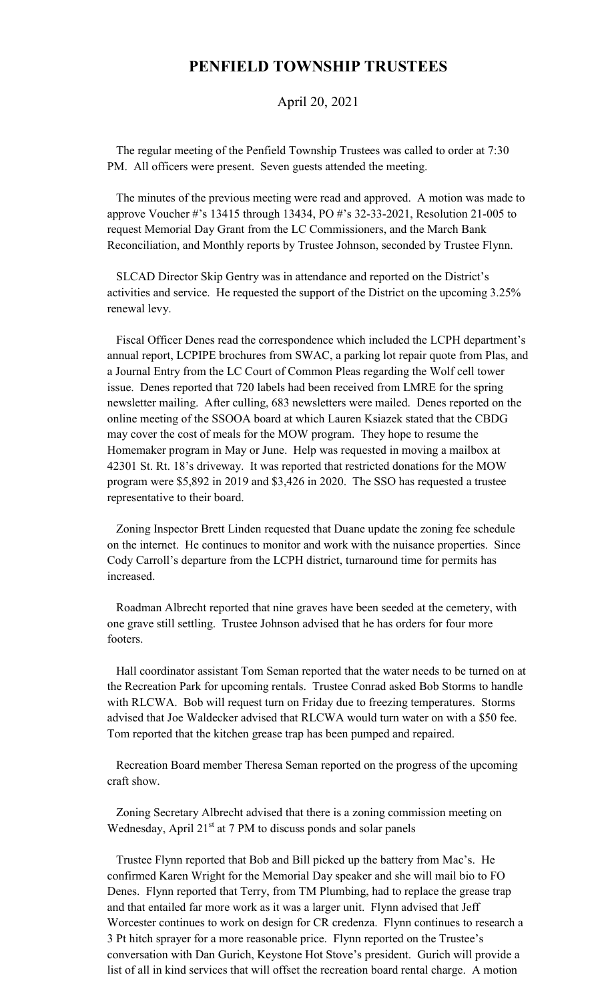## **PENFIELD TOWNSHIP TRUSTEES**

## April 20, 2021

 The regular meeting of the Penfield Township Trustees was called to order at 7:30 PM. All officers were present. Seven guests attended the meeting.

 The minutes of the previous meeting were read and approved. A motion was made to approve Voucher #'s 13415 through 13434, PO #'s 32-33-2021, Resolution 21-005 to request Memorial Day Grant from the LC Commissioners, and the March Bank Reconciliation, and Monthly reports by Trustee Johnson, seconded by Trustee Flynn.

 SLCAD Director Skip Gentry was in attendance and reported on the District's activities and service. He requested the support of the District on the upcoming 3.25% renewal levy.

 Fiscal Officer Denes read the correspondence which included the LCPH department's annual report, LCPIPE brochures from SWAC, a parking lot repair quote from Plas, and a Journal Entry from the LC Court of Common Pleas regarding the Wolf cell tower issue. Denes reported that 720 labels had been received from LMRE for the spring newsletter mailing. After culling, 683 newsletters were mailed. Denes reported on the online meeting of the SSOOA board at which Lauren Ksiazek stated that the CBDG may cover the cost of meals for the MOW program. They hope to resume the Homemaker program in May or June. Help was requested in moving a mailbox at 42301 St. Rt. 18's driveway. It was reported that restricted donations for the MOW program were \$5,892 in 2019 and \$3,426 in 2020. The SSO has requested a trustee representative to their board.

 Zoning Inspector Brett Linden requested that Duane update the zoning fee schedule on the internet. He continues to monitor and work with the nuisance properties. Since Cody Carroll's departure from the LCPH district, turnaround time for permits has increased.

 Roadman Albrecht reported that nine graves have been seeded at the cemetery, with one grave still settling. Trustee Johnson advised that he has orders for four more footers.

 Hall coordinator assistant Tom Seman reported that the water needs to be turned on at the Recreation Park for upcoming rentals. Trustee Conrad asked Bob Storms to handle with RLCWA. Bob will request turn on Friday due to freezing temperatures. Storms advised that Joe Waldecker advised that RLCWA would turn water on with a \$50 fee. Tom reported that the kitchen grease trap has been pumped and repaired.

 Recreation Board member Theresa Seman reported on the progress of the upcoming craft show.

 Zoning Secretary Albrecht advised that there is a zoning commission meeting on Wednesday, April 21<sup>st</sup> at 7 PM to discuss ponds and solar panels

 Trustee Flynn reported that Bob and Bill picked up the battery from Mac's. He confirmed Karen Wright for the Memorial Day speaker and she will mail bio to FO Denes. Flynn reported that Terry, from TM Plumbing, had to replace the grease trap and that entailed far more work as it was a larger unit. Flynn advised that Jeff Worcester continues to work on design for CR credenza. Flynn continues to research a 3 Pt hitch sprayer for a more reasonable price. Flynn reported on the Trustee's conversation with Dan Gurich, Keystone Hot Stove's president. Gurich will provide a list of all in kind services that will offset the recreation board rental charge. A motion